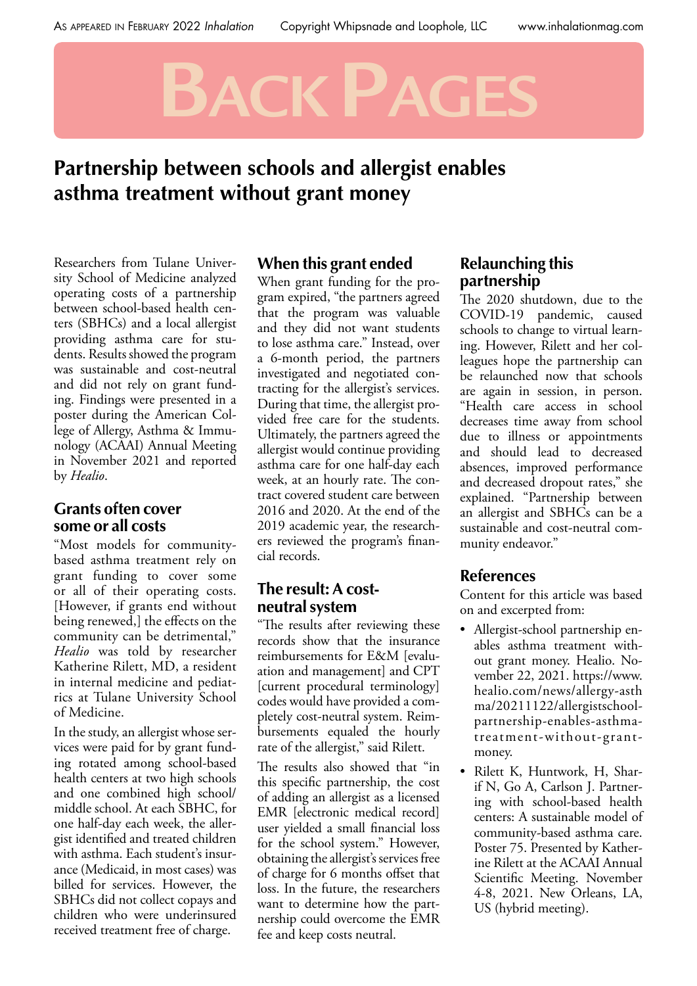# **Back Pages**

# **Partnership between schools and allergist enables asthma treatment without grant money**

Researchers from Tulane University School of Medicine analyzed operating costs of a partnership between school-based health centers (SBHCs) and a local allergist providing asthma care for students. Results showed the program was sustainable and cost-neutral and did not rely on grant funding. Findings were presented in a poster during the American College of Allergy, Asthma & Immunology (ACAAI) Annual Meeting in November 2021 and reported by *Healio*.

## **Grants often cover some or all costs**

"Most models for communitybased asthma treatment rely on grant funding to cover some or all of their operating costs. [However, if grants end without being renewed,] the effects on the community can be detrimental," *Healio* was told by researcher Katherine Rilett, MD, a resident in internal medicine and pediatrics at Tulane University School of Medicine.

In the study, an allergist whose services were paid for by grant funding rotated among school-based health centers at two high schools and one combined high school/ middle school. At each SBHC, for one half-day each week, the allergist identified and treated children with asthma. Each student's insurance (Medicaid, in most cases) was billed for services. However, the SBHCs did not collect copays and children who were underinsured received treatment free of charge.

#### **When this grant ended**

When grant funding for the program expired, "the partners agreed that the program was valuable and they did not want students to lose asthma care." Instead, over a 6-month period, the partners investigated and negotiated contracting for the allergist's services. During that time, the allergist provided free care for the students. Ultimately, the partners agreed the allergist would continue providing asthma care for one half-day each week, at an hourly rate. The contract covered student care between 2016 and 2020. At the end of the 2019 academic year, the researchers reviewed the program's financial records.

#### **The result: A costneutral system**

"The results after reviewing these records show that the insurance reimbursements for E&M [evaluation and management] and CPT [current procedural terminology] codes would have provided a completely cost-neutral system. Reimbursements equaled the hourly rate of the allergist," said Rilett.

The results also showed that "in this specific partnership, the cost of adding an allergist as a licensed EMR [electronic medical record] user yielded a small financial loss for the school system." However, obtaining the allergist's services free of charge for 6 months offset that loss. In the future, the researchers want to determine how the partnership could overcome the EMR fee and keep costs neutral.

### **Relaunching this partnership**

The 2020 shutdown, due to the COVID-19 pandemic, caused schools to change to virtual learning. However, Rilett and her colleagues hope the partnership can be relaunched now that schools are again in session, in person. "Health care access in school decreases time away from school due to illness or appointments and should lead to decreased absences, improved performance and decreased dropout rates," she explained. "Partnership between an allergist and SBHCs can be a sustainable and cost-neutral community endeavor."

## **References**

Content for this article was based on and excerpted from:

- Allergist-school partnership enables asthma treatment without grant money. Healio. November 22, 2021. https://www. healio.com/news/allergy-asth ma/20211122/allergistschoolpartnership-enables-asthmatreatment-without-grantmoney.
- Rilett K, Huntwork, H, Sharif N, Go A, Carlson J. Partnering with school-based health centers: A sustainable model of community-based asthma care. Poster 75. Presented by Katherine Rilett at the ACAAI Annual Scientific Meeting. November 4-8, 2021. New Orleans, LA, US (hybrid meeting).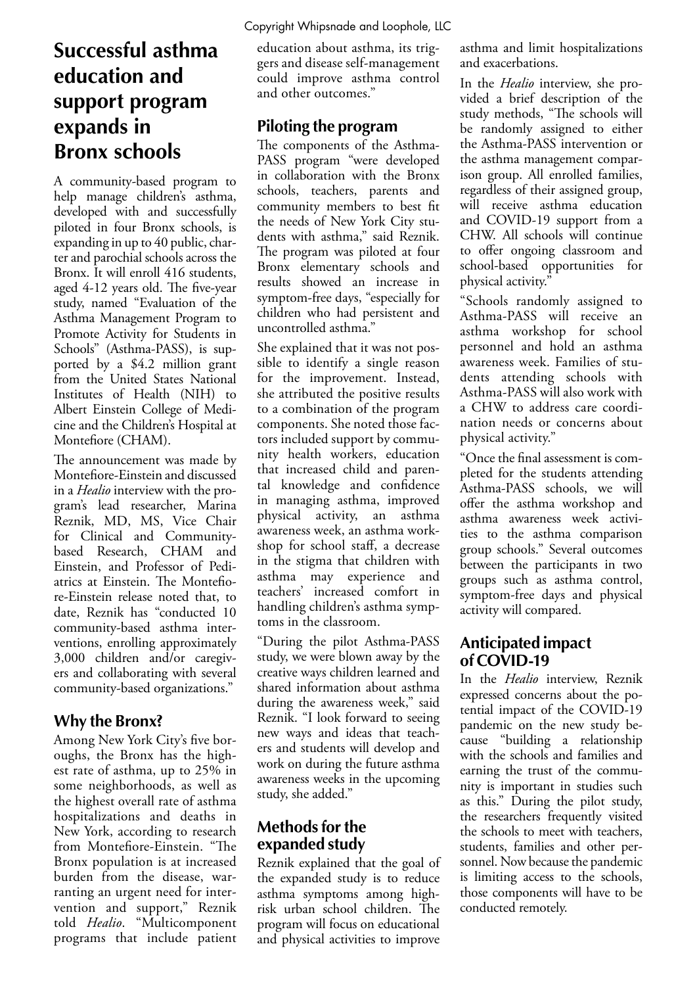# **Successful asthma education and support program expands in Bronx schools**

A community-based program to help manage children's asthma, developed with and successfully piloted in four Bronx schools, is expanding in up to 40 public, charter and parochial schools across the Bronx. It will enroll 416 students, aged 4-12 years old. The five-year study, named "Evaluation of the Asthma Management Program to Promote Activity for Students in Schools" (Asthma-PASS), is supported by a \$4.2 million grant from the United States National Institutes of Health (NIH) to Albert Einstein College of Medicine and the Children's Hospital at Montefiore (CHAM).

The announcement was made by Montefiore-Einstein and discussed in a *Healio* interview with the program's lead researcher, Marina Reznik, MD, MS, Vice Chair for Clinical and Communitybased Research, CHAM and Einstein, and Professor of Pediatrics at Einstein. The Montefiore-Einstein release noted that, to date, Reznik has "conducted 10 community-based asthma interventions, enrolling approximately 3,000 children and/or caregivers and collaborating with several community-based organizations."

## **Why the Bronx?**

Among New York City's five boroughs, the Bronx has the highest rate of asthma, up to 25% in some neighborhoods, as well as the highest overall rate of asthma hospitalizations and deaths in New York, according to research from Montefiore-Einstein. "The Bronx population is at increased burden from the disease, warranting an urgent need for intervention and support," Reznik told *Healio*. "Multicomponent programs that include patient

Copyright Whipsnade and Loophole, LLC

education about asthma, its triggers and disease self-management could improve asthma control and other outcomes."

## **Piloting the program**

The components of the Asthma-PASS program "were developed in collaboration with the Bronx schools, teachers, parents and community members to best fit the needs of New York City students with asthma," said Reznik. The program was piloted at four Bronx elementary schools and results showed an increase in symptom-free days, "especially for children who had persistent and uncontrolled asthma."

She explained that it was not possible to identify a single reason for the improvement. Instead, she attributed the positive results to a combination of the program components. She noted those factors included support by community health workers, education that increased child and parental knowledge and confidence in managing asthma, improved physical activity, an asthma awareness week, an asthma workshop for school staff, a decrease in the stigma that children with asthma may experience and teachers' increased comfort in handling children's asthma symptoms in the classroom.

"During the pilot Asthma-PASS study, we were blown away by the creative ways children learned and shared information about asthma during the awareness week," said Reznik. "I look forward to seeing new ways and ideas that teachers and students will develop and work on during the future asthma awareness weeks in the upcoming study, she added."

## **Methods for the expanded study**

Reznik explained that the goal of the expanded study is to reduce asthma symptoms among highrisk urban school children. The program will focus on educational and physical activities to improve

asthma and limit hospitalizations and exacerbations.

In the *Healio* interview, she provided a brief description of the study methods, "The schools will be randomly assigned to either the Asthma-PASS intervention or the asthma management comparison group. All enrolled families, regardless of their assigned group, will receive asthma education and COVID-19 support from a CHW. All schools will continue to offer ongoing classroom and school-based opportunities for physical activity."

"Schools randomly assigned to Asthma-PASS will receive an asthma workshop for school personnel and hold an asthma awareness week. Families of students attending schools with Asthma-PASS will also work with a CHW to address care coordination needs or concerns about physical activity."

"Once the final assessment is completed for the students attending Asthma-PASS schools, we will offer the asthma workshop and asthma awareness week activities to the asthma comparison group schools." Several outcomes between the participants in two groups such as asthma control, symptom-free days and physical activity will compared.

## **Anticipated impact of COVID-19**

In the *Healio* interview, Reznik expressed concerns about the potential impact of the COVID-19 pandemic on the new study because "building a relationship with the schools and families and earning the trust of the community is important in studies such as this." During the pilot study, the researchers frequently visited the schools to meet with teachers, students, families and other personnel. Now because the pandemic is limiting access to the schools, those components will have to be conducted remotely.